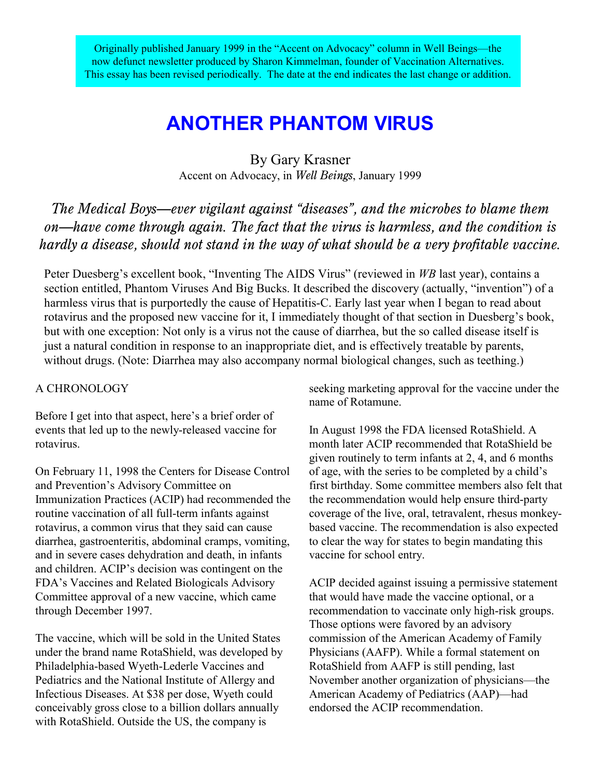Originally published January 1999 in the "Accent on Advocacy" column in Well Beings—the now defunct newsletter produced by Sharon Kimmelman, founder of Vaccination Alternatives. This essay has been revised periodically. The date at the end indicates the last change or addition.

# **ANOTHER PHANTOM VIRUS**

By Gary Krasner Accent on Advocacy, in *Well Beings*, January 1999

*The Medical Boys—ever vigilant against "diseases", and the microbes to blame them on—have come through again. The fact that the virus is harmless, and the condition is hardly a disease, should not stand in the way of what should be a very profitable vaccine.*

Peter Duesberg's excellent book, "Inventing The AIDS Virus" (reviewed in *WB* last year), contains a section entitled, Phantom Viruses And Big Bucks. It described the discovery (actually, "invention") of a harmless virus that is purportedly the cause of Hepatitis-C. Early last year when I began to read about rotavirus and the proposed new vaccine for it, I immediately thought of that section in Duesberg's book, but with one exception: Not only is a virus not the cause of diarrhea, but the so called disease itself is just a natural condition in response to an inappropriate diet, and is effectively treatable by parents, without drugs. (Note: Diarrhea may also accompany normal biological changes, such as teething.)

### A CHRONOLOGY

Before I get into that aspect, here's a brief order of events that led up to the newly-released vaccine for rotavirus.

On February 11, 1998 the Centers for Disease Control and Prevention's Advisory Committee on Immunization Practices (ACIP) had recommended the routine vaccination of all full-term infants against rotavirus, a common virus that they said can cause diarrhea, gastroenteritis, abdominal cramps, vomiting, and in severe cases dehydration and death, in infants and children. ACIP's decision was contingent on the FDA's Vaccines and Related Biologicals Advisory Committee approval of a new vaccine, which came through December 1997.

The vaccine, which will be sold in the United States under the brand name RotaShield, was developed by Philadelphia-based Wyeth-Lederle Vaccines and Pediatrics and the National Institute of Allergy and Infectious Diseases. At \$38 per dose, Wyeth could conceivably gross close to a billion dollars annually with RotaShield. Outside the US, the company is

seeking marketing approval for the vaccine under the name of Rotamune.

In August 1998 the FDA licensed RotaShield. A month later ACIP recommended that RotaShield be given routinely to term infants at 2, 4, and 6 months of age, with the series to be completed by a child's first birthday. Some committee members also felt that the recommendation would help ensure third-party coverage of the live, oral, tetravalent, rhesus monkeybased vaccine. The recommendation is also expected to clear the way for states to begin mandating this vaccine for school entry.

ACIP decided against issuing a permissive statement that would have made the vaccine optional, or a recommendation to vaccinate only high-risk groups. Those options were favored by an advisory commission of the American Academy of Family Physicians (AAFP). While a formal statement on RotaShield from AAFP is still pending, last November another organization of physicians—the American Academy of Pediatrics (AAP)—had endorsed the ACIP recommendation.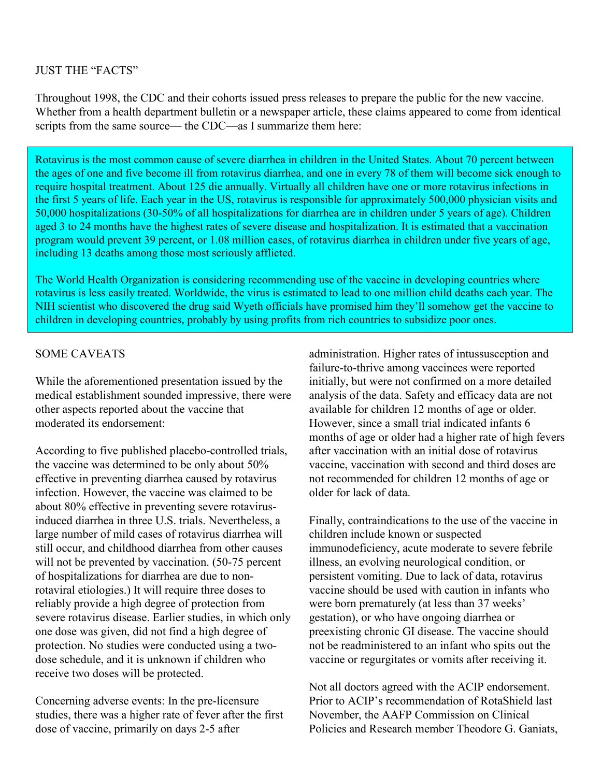JUST THE "FACTS"

Throughout 1998, the CDC and their cohorts issued press releases to prepare the public for the new vaccine. Whether from a health department bulletin or a newspaper article, these claims appeared to come from identical scripts from the same source— the CDC—as I summarize them here:

Rotavirus is the most common cause of severe diarrhea in children in the United States. About 70 percent between the ages of one and five become ill from rotavirus diarrhea, and one in every 78 of them will become sick enough to require hospital treatment. About 125 die annually. Virtually all children have one or more rotavirus infections in the first 5 years of life. Each year in the US, rotavirus is responsible for approximately 500,000 physician visits and 50,000 hospitalizations (30-50% of all hospitalizations for diarrhea are in children under 5 years of age). Children aged 3 to 24 months have the highest rates of severe disease and hospitalization. It is estimated that a vaccination program would prevent 39 percent, or 1.08 million cases, of rotavirus diarrhea in children under five years of age, including 13 deaths among those most seriously afflicted.

The World Health Organization is considering recommending use of the vaccine in developing countries where rotavirus is less easily treated. Worldwide, the virus is estimated to lead to one million child deaths each year. The NIH scientist who discovered the drug said Wyeth officials have promised him they'll somehow get the vaccine to children in developing countries, probably by using profits from rich countries to subsidize poor ones.

## SOME CAVEATS

While the aforementioned presentation issued by the medical establishment sounded impressive, there were other aspects reported about the vaccine that moderated its endorsement:

According to five published placebo-controlled trials, the vaccine was determined to be only about 50% effective in preventing diarrhea caused by rotavirus infection. However, the vaccine was claimed to be about 80% effective in preventing severe rotavirusinduced diarrhea in three U.S. trials. Nevertheless, a large number of mild cases of rotavirus diarrhea will still occur, and childhood diarrhea from other causes will not be prevented by vaccination. (50-75 percent of hospitalizations for diarrhea are due to nonrotaviral etiologies.) It will require three doses to reliably provide a high degree of protection from severe rotavirus disease. Earlier studies, in which only one dose was given, did not find a high degree of protection. No studies were conducted using a twodose schedule, and it is unknown if children who receive two doses will be protected.

Concerning adverse events: In the pre-licensure studies, there was a higher rate of fever after the first dose of vaccine, primarily on days 2-5 after

administration. Higher rates of intussusception and failure-to-thrive among vaccinees were reported initially, but were not confirmed on a more detailed analysis of the data. Safety and efficacy data are not available for children 12 months of age or older. However, since a small trial indicated infants 6 months of age or older had a higher rate of high fevers after vaccination with an initial dose of rotavirus vaccine, vaccination with second and third doses are not recommended for children 12 months of age or older for lack of data.

Finally, contraindications to the use of the vaccine in children include known or suspected immunodeficiency, acute moderate to severe febrile illness, an evolving neurological condition, or persistent vomiting. Due to lack of data, rotavirus vaccine should be used with caution in infants who were born prematurely (at less than 37 weeks' gestation), or who have ongoing diarrhea or preexisting chronic GI disease. The vaccine should not be readministered to an infant who spits out the vaccine or regurgitates or vomits after receiving it.

Not all doctors agreed with the ACIP endorsement. Prior to ACIP's recommendation of RotaShield last November, the AAFP Commission on Clinical Policies and Research member Theodore G. Ganiats,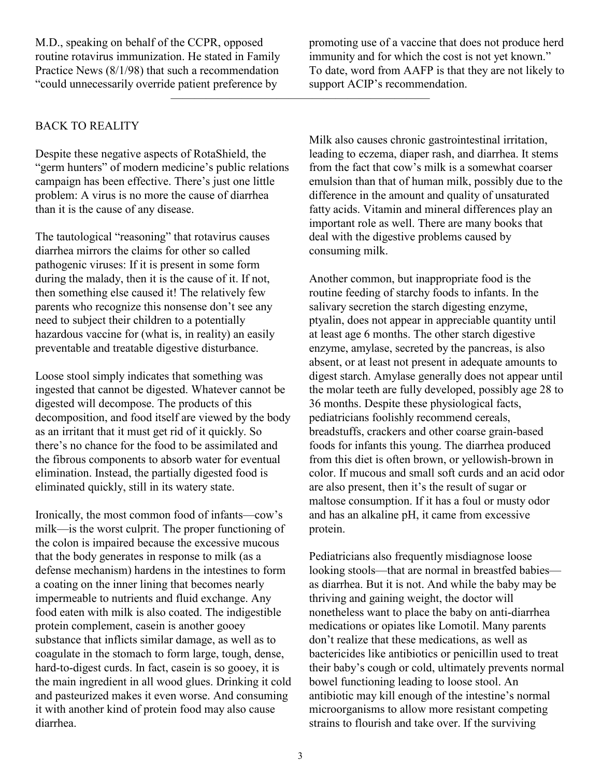M.D., speaking on behalf of the CCPR, opposed routine rotavirus immunization. He stated in Family Practice News (8/1/98) that such a recommendation "could unnecessarily override patient preference by

promoting use of a vaccine that does not produce herd immunity and for which the cost is not yet known." To date, word from AAFP is that they are not likely to support ACIP's recommendation.

## BACK TO REALITY

Despite these negative aspects of RotaShield, the "germ hunters" of modern medicine's public relations campaign has been effective. There's just one little problem: A virus is no more the cause of diarrhea than it is the cause of any disease.

The tautological "reasoning" that rotavirus causes diarrhea mirrors the claims for other so called pathogenic viruses: If it is present in some form during the malady, then it is the cause of it. If not, then something else caused it! The relatively few parents who recognize this nonsense don't see any need to subject their children to a potentially hazardous vaccine for (what is, in reality) an easily preventable and treatable digestive disturbance.

Loose stool simply indicates that something was ingested that cannot be digested. Whatever cannot be digested will decompose. The products of this decomposition, and food itself are viewed by the body as an irritant that it must get rid of it quickly. So there's no chance for the food to be assimilated and the fibrous components to absorb water for eventual elimination. Instead, the partially digested food is eliminated quickly, still in its watery state.

Ironically, the most common food of infants—cow's milk—is the worst culprit. The proper functioning of the colon is impaired because the excessive mucous that the body generates in response to milk (as a defense mechanism) hardens in the intestines to form a coating on the inner lining that becomes nearly impermeable to nutrients and fluid exchange. Any food eaten with milk is also coated. The indigestible protein complement, casein is another gooey substance that inflicts similar damage, as well as to coagulate in the stomach to form large, tough, dense, hard-to-digest curds. In fact, casein is so gooey, it is the main ingredient in all wood glues. Drinking it cold and pasteurized makes it even worse. And consuming it with another kind of protein food may also cause diarrhea.

Milk also causes chronic gastrointestinal irritation, leading to eczema, diaper rash, and diarrhea. It stems from the fact that cow's milk is a somewhat coarser emulsion than that of human milk, possibly due to the difference in the amount and quality of unsaturated fatty acids. Vitamin and mineral differences play an important role as well. There are many books that deal with the digestive problems caused by consuming milk.

Another common, but inappropriate food is the routine feeding of starchy foods to infants. In the salivary secretion the starch digesting enzyme, ptyalin, does not appear in appreciable quantity until at least age 6 months. The other starch digestive enzyme, amylase, secreted by the pancreas, is also absent, or at least not present in adequate amounts to digest starch. Amylase generally does not appear until the molar teeth are fully developed, possibly age 28 to 36 months. Despite these physiological facts, pediatricians foolishly recommend cereals, breadstuffs, crackers and other coarse grain-based foods for infants this young. The diarrhea produced from this diet is often brown, or yellowish-brown in color. If mucous and small soft curds and an acid odor are also present, then it's the result of sugar or maltose consumption. If it has a foul or musty odor and has an alkaline pH, it came from excessive protein.

Pediatricians also frequently misdiagnose loose looking stools—that are normal in breastfed babies as diarrhea. But it is not. And while the baby may be thriving and gaining weight, the doctor will nonetheless want to place the baby on anti-diarrhea medications or opiates like Lomotil. Many parents don't realize that these medications, as well as bactericides like antibiotics or penicillin used to treat their baby's cough or cold, ultimately prevents normal bowel functioning leading to loose stool. An antibiotic may kill enough of the intestine's normal microorganisms to allow more resistant competing strains to flourish and take over. If the surviving

——————————————————————